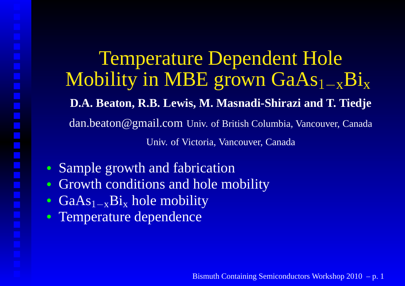Temperature Dependent HoleMobility in MBE grown GaAs $_{\mathrm{1-x}}\mathrm{Bi}_{\mathrm{x}}$  **D.A. Beaton, R.B. Lewis, M. Masnadi-Shirazi and T. Tiedje**dan.beaton@gmail.com Univ. of British Columbia, Vancouver, Canada Univ. of Victoria, Vancouver, Canada

- Sample growth and fabrication
- Growth conditions and hole mobility $\bullet$
- $\bullet$ • GaAs<sub>1−x</sub>Bi<sub>x</sub>  $\boldsymbol{v}$  hole mobility
- Temperature dependence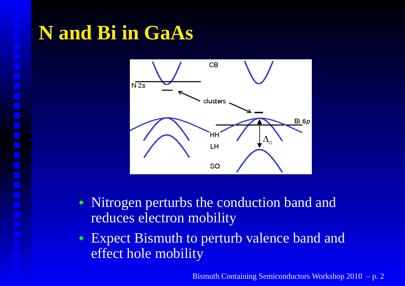## **N and Bi in GaAs**



- Nitrogen perturbs the conduction band andreduces electron mobility
- Expect Bismuth to perturb valence band andeffect hole mobility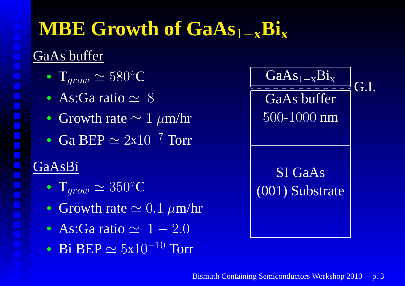# **MBE Growth of GaAs**1−**xBix**

#### GaAs buffer

- $\bullet$  T $_{grow} \simeq 580^\circ$  $^\circ{\rm C}$
- As:Ga ratio $\simeq 8$
- Growth rate  $\simeq 1~\mu\text{m/hr}$
- Ga BEP  $\simeq 2x10^{-7}$  Torr

### GaAsBi

- $\bullet$  T $_{grow} \simeq 350^\circ$  $^\circ \text{C}$
- Growth rate  $\simeq0.1~\mu\text{m/hr}$
- As:Ga ratio $\simeq 1-2.0$
- Bi BEP  $\simeq 5x10^{-10}$  Torr

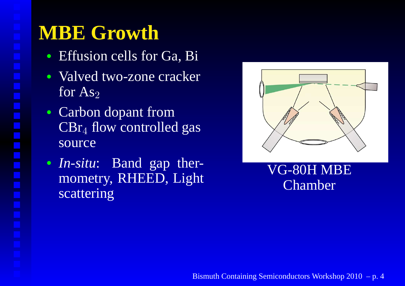# **MBE Growth**

- Effusion cells for Ga, Bi
- Valved two-zone crackerfor  $As<sub>2</sub>$
- Carbon dopant from $\rm {CBr_4}$  flow controlled gas source
- *In-situ*: Band gap thermometry, RHEED, Lightscattering



#### VG-80H MBEChamber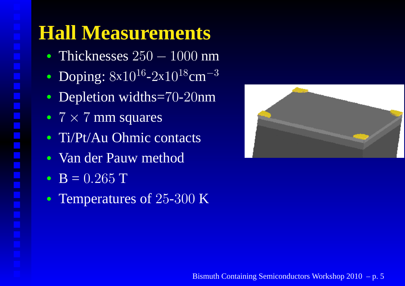## **Hall Measurements**

- Thicknesses 250 − $-1000$  nm
- Doping:  $8x10^{16} 2x10^{18}$ cm  $-3\,$
- Depletion widths=70-20nm
- $7 \times 7$  mm squares
- Ti/Pt/Au Ohmic contacts
- Van der Pauw method
- $B = 0.265 T$
- Temperatures of  $25\text{-}300\text{ K}$

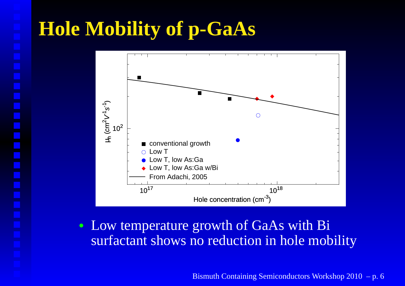# **Hole Mobility of p-GaAs**



• Low temperature growth of GaAs with Bisurfactant shows no reduction in hole mobility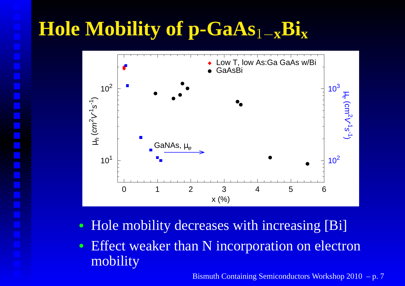# **Hole Mobility of p-GaAs**1−**xBix**



- Hole mobility decreases with increasing [Bi]
- Effect weaker than N incorporation on electronmobility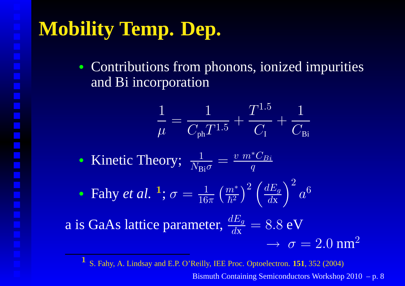# **Mobility Temp. Dep.**

• Contributions from phonons, ionized impuritiesand Bi incorporation

$$
\frac{1}{\mu} = \frac{1}{C_{\text{ph}} T^{1.5}} + \frac{T^{1.5}}{C_{\text{I}}} + \frac{1}{C_{\text{Bi}}}
$$

- Kinetic Theory; 1 $N_{\mathbf{Bi}}\sigma$  $=$   $\frac{v~m}{}$ ∗ $\frac{ {}^*C_{Bi}}{q}$
- Fahy *et al.* <sup>1</sup>  $^{\text{1}}$ ;  $\sigma=\frac{1}{16}$  $\frac{1}{16\pi}\left(\frac{m}{\hbar^2}\right)$ ∗ $\overline{\hbar^2}$  $\frac{\nu^*}{2}\Big)^2$  $\bigg(\frac{dE}{d\text{x}}$  $\frac{d\mathbf{z}}{d\mathbf{x}}$  $\bigg)^2$  $\overline{a}$ 6

a is GaAs lattice parameter,  $\frac{dE}{d\mathbf{x}}$  $\frac{d\mathbf{z}}{d\mathbf{x}}$ = <sup>8</sup>.<sup>8</sup> eV $\rightarrow \sigma = 2.0 \text{ nm}^2$ 

1 S. Fahy, A. Lindsay and E.P. O'Reilly, IEE Proc. Optoelectron. **151**, 352 (2004)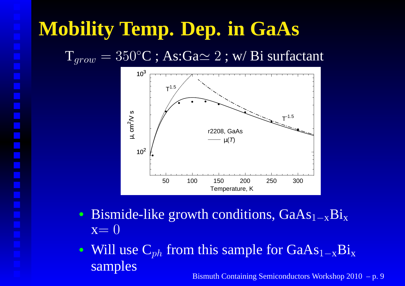# **Mobility Temp. Dep. in GaAs**

 $\mathrm{T}_{grow}=350^{\circ}\mathrm{C}$  ; As:Ga $\simeq2$  ; w/ Bi surfactant



- Bismide-like growth conditions,  $GaAs_{1-x}Bi_x$  $x=0$
- Will use  $C_{ph}$  from this sample for GaAs  $_{\mathrm{1-x}}\mathrm{Bi}_{\mathrm{x}}$ samplesBismuth Containing Semiconductors Workshop 2010 – p. 9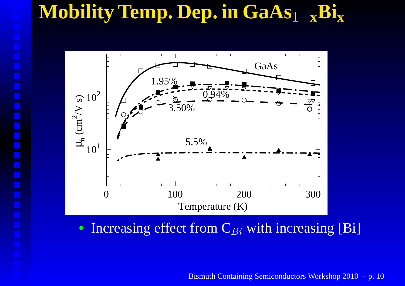### **Mobility Temp. Dep. in GaAs**1−**xBix**



• Increasing effect from  $C_{Bi}$  with increasing [Bi]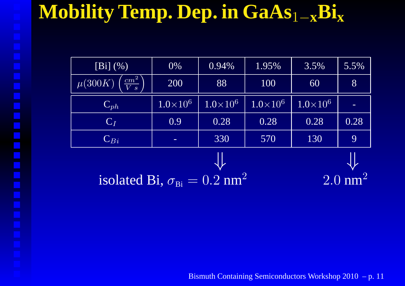### **Mobility Temp. Dep. in GaAs**1−**xBix**

| $[Bi]$ $(\%)$                                             | 0%                | 0.94%                      | 1.95%             | 3.5%            | 5.5% |
|-----------------------------------------------------------|-------------------|----------------------------|-------------------|-----------------|------|
| $\left[\frac{cm^2}{V~s}\right]$<br>$\overline{\mu(300K)}$ | 200               | 88                         | 100               | 60              | 8    |
| $\mathbf{C}_{ph}$                                         | $1.0 \times 10^6$ | $\overline{1.0\times}10^6$ | $1.0 \times 10^6$ | $1.0\times10^6$ |      |
| $C_I$                                                     | 0.9               | 0.28                       | 0.28              | 0.28            | 0.28 |
| $\mathbf{C}_{Bi}$                                         | -                 | 330                        | 570               | 130             | 9    |
|                                                           |                   |                            |                   |                 |      |
| isolated Bi $\sigma_{\rm m} = 0.2$ nm <sup>2</sup>        |                   |                            |                   | $2\Omega$       |      |

isolated Bi,  $\sigma_{\text{Bi}} = 0.2$  nm 2

Bismuth Containing Semiconductors Workshop 2010 – p. 11

2.0 nm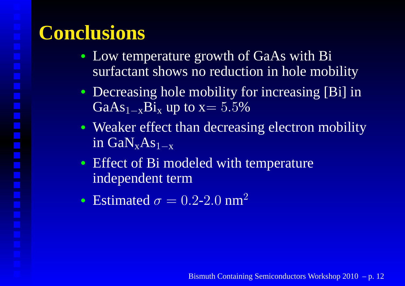# **Conclusions**

- Low temperature growth of GaAs with Bisurfactant shows no reduction in hole mobility
- Decreasing hole mobility for increasing [Bi] inGa $As_{1-x}Bi_x$  up to x= 5.5%
- Weaker effect than decreasing electron mobilityin  $GaN_xAs_{1-x}$
- Effect of Bi modeled with temperatureindependent term
- Estimated  $\sigma = 0.2$ -2.0 nm<sup>2</sup>